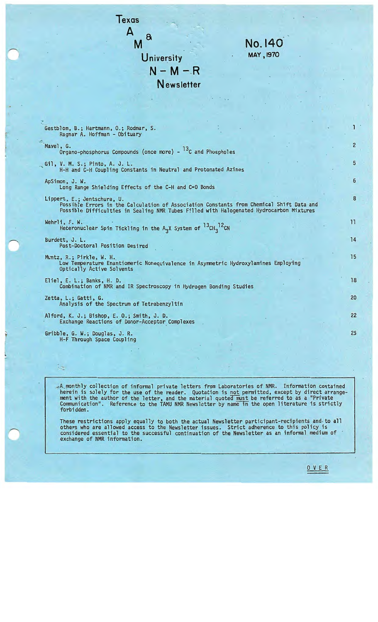

 $-A$  monthly collection of informal private letters from Laboratories of NMR. Information contained herein is solely for the use of the reader. Quotation is not permitted, except by direct arrangement with the author of the letter, and the material quoted must be referred to as a "Private Communication". Reference to the TAMU NMR Newsletter by name in the open literature is strictly forbidden.

These restrictions apply equally to both the actual Newsletter participant-recipients and to all others who are allowed access to the Newsletter issues. Strict adherence to this policy is considered essential to the successful continuation of the Newsletter as an informal medium of · exchange of NMR information.

0 V E R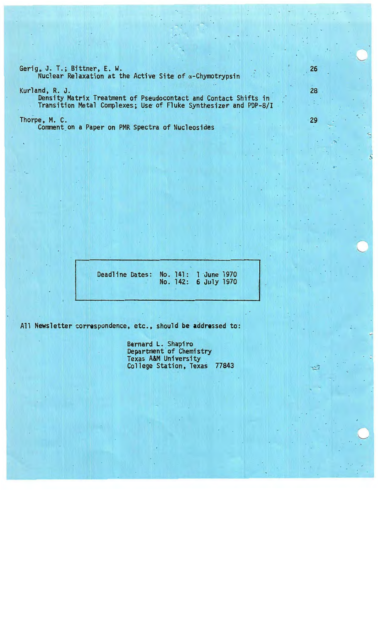Gerig, J. T.; Bittner, E. W.<br>Nuclear Relaxation at the Active Site of  $\alpha$ -Chymotrypsin

Kurland, R. J. **Density Matrix Treatment of Pseudocontact and Contact Shifts in** Transition Metal Complexes; Use of Fluke Synthesizer and PDP-8/I 26

28

29

荡

 $\bigcirc$ 

Thorpe, M. C.

Comment on a Paper on PMR Spectra of Nucleosides

Deadline Dates: No. 141: 1 June 1970 No. 142: 6 July 1970

All Newsletter correspondence, etc., should be addressed to:

Bernard L. Shapiro Department of Chemistry<br>Texas A&M University College Station, Texas 77843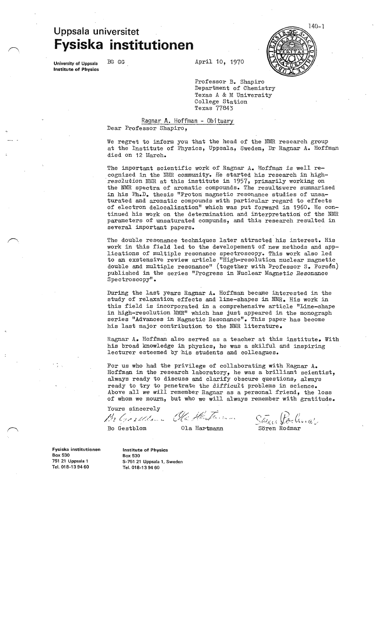# **Uppsala universitet Fysiska institutionen**



University of Uppsala **Institute of Physics** 

BG GG April 10, 1970

Professor B. Shapiro Department of Chemistry Texas A & M University College Station Texas 77843

#### Ragnar A. Hoffman - Obituary Dear Professor Shapiro,

We regret to inform you that the head of the NMR research group at the Institute of Physics, Uppsala, Sweden, Dr Ragnar A. Hoffman died on 12 March.

The important scientific work of Ragnar A. Hoffman is well recognized in the NMR community. He started his research in highresolution NMR at this institute in 1957, primarily working on the NMR spectra of aromatic compounds. The resultswere summarized in his Ph.D. thesis "Proton magnetic resonance studies of unsaturated and aromatic compounds with particular regard to effects of electron delocalization" which was put forward in 1960. He continued his work on the determination and interpretation of the NMR parameters of unsaturated compunds, and this research resulted in several important papers.

The double resonance techniques later attracted his interest. His work in this field led to the developement of new methods and applications of multiple resonance spectroscopy. This work also led to an exstensive review article "High-resolution nuclear magnetic double and multiple resonance" (together with Professor S. Forsen) published in the series "Progress in Nuclear Magnetic Resonance Spectroscopy".

During the last years Ragnar A. Hoffman became interested in the study of relaxation effects and line-shapes in NMR. His work in this field is incorporated in a comprehensive article "Line-shape in high-resolution NMR" which has just appeared in the monograph series "Advances in Magnetic Resonance". This paper has become his last major contribution to the NMR literature.

Ragnar A. Hoffman also served as a teacher at this institute. With his broad knowledge in physics, he was a skilful and inspiring lecturer esteemed by his students and colleagues.

For us who had the privilege of collaborating with Ragnar A. Hoffman in the research laboratory, he was a brilliant scientist, always ready to discuss and clarify obscure questions, always ready to try to penetrate the difficult problems in science. Above all we will remember Ragnar as a personal friend, the loss of whom we mourn, but who we will always remember with gratitude.

Yours sincerely //! *(,* .,,- *,l* z, -/c , . '-

Bo Gestblom Ola Hartmann

Fysiska institutionen Box 530 751 21 Uppsala 1 Tel. 018-13 9460

Institute of Physics Box 530 S-751 21 Uppsala 1, Sweden Tel. 018-139460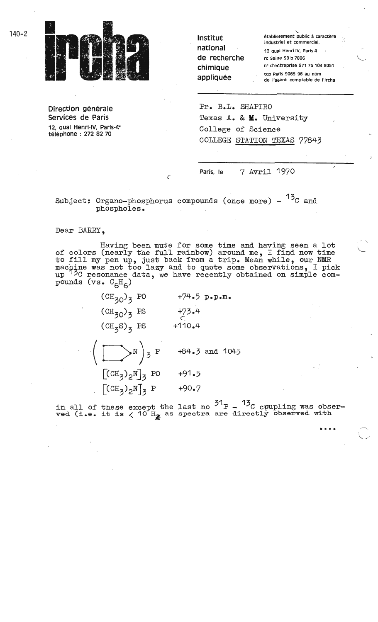

Direction générale Services de Paris 12, quai Henri-IV, Paris-4• telephone : 272 82 70

| Institut     | établissement public à caractère<br>industriel et commercial, |  |  |
|--------------|---------------------------------------------------------------|--|--|
| national     | 12 quai Henri IV, Paris 4                                     |  |  |
| de recherche | rc Seine 58 b 7806                                            |  |  |
| chimique     | nº d'entreprise 971 75 104 9051                               |  |  |
| appliquée    | ccp Paris 9065 96 au nom<br>de l'agent comptable de l'ircha   |  |  |

,--..,  $\setminus$ 

L

Pr. B.L. SHAPIRO Texas A. & **M.** University College of Science COLLEGE STATION TEXAS 77843

**Paris,** le 7 Avril 1970

Subject: Organo-phosphorus compounds (once more)  $13<sub>C</sub>$  and phospholes.

 $\subset$ 

Dear BARRY,

Having been mute for some time and having seen a lot of colors (nearly the full rainbow) around me, I find now time of colors (hearty the full rainbow) around me, I find now time machine was not too lazy and to quote some observations, I pick up <sup>73</sup>C resonance data, we have recently obtained on simple compounds (vs.  $C_fH_f$ )

| $+74.5$ p.p.m.     |
|--------------------|
| $+73.4$            |
| $+110.4$           |
| $+84.3$ and $1045$ |
| $+91.5$            |
| $+90.7$            |
|                    |

in all of these except the last no  $^{31}$ P -  $^{13}$ C coupling was obserin all of these except the last no  $\sim$  P -  $\sim$  C coupling was observed with  $\rm v$  as spectra are directly observed with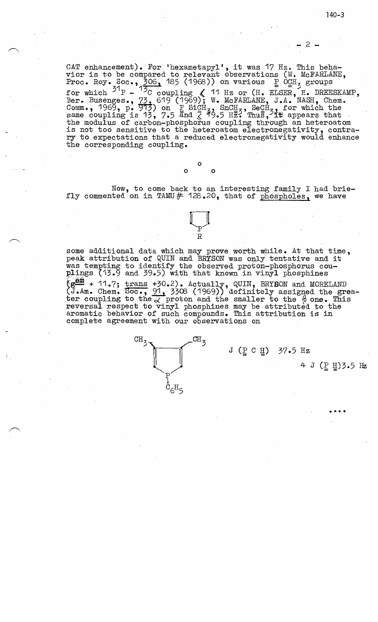- 2 -

CAT enhancement). For 'hexametapyl', it was 17 Hz. This behavior is to be compared to relevant observations (W. McFARLANE, Proc. Roy. Soc., 306, 185 (1968)) on various  $\frac{1}{2}$  OCH<sub>3</sub> groups  $^{31}$  P -  $^{15}$ C coupling  $\leq$  11 Hz or (H. ELSER, H. DREESKAMP, Ber. Busenges., 73, 619 (1969); W. McFARLANE, J.A. NASH, Chem.<br>Comm., 1969, p. 913) on : SiCH<sub>3</sub>, SnCH<sub>3</sub>, SeCH<sub>32,</sub> for which the same coupling is 13, 7.5 and  $\frac{1}{2}$ ,  $\frac{3}{2}$ ,  $\frac{3}{2}$ ,  $\frac{3}{2}$ ,  $\frac{3}{2}$ ,  $\frac{3}{2}$ ,  $\frac{3}{2}$ ,  $\frac{3}{2}$ ,  $\frac{3}{2}$ ,  $\frac{3}{2}$ ,  $\frac{3}{2}$ ,  $\frac{3}{2}$ ,  $\frac{3}{2}$ ,  $\frac{3}{2}$ ,  $\frac{3}{2}$ ,  $\frac{3}{2}$ ,  $\frac{3}{2}$ ,  $\frac{3$ the modulus of carbon-phosphorus coupling through an heteroatom<br>is not too sensitive to the heteroatom electronegativity, contrary to expectations that a reduced electronegativity would enhance the corresponding coupling. ·

Now, to come back to an interesting family I had briefly commented on in TAMU  $#$  128.20, that of phospholes, we have

 $\Box$ 

R

0 0 0

some additional data which may prove worth while. At that time, peak attribution of QUIN and BRYSON was only tentative and it was tempting to identify the observed proton-phosphorus couplings (13.9 and 39.5) with that known in vinyl phosphines  ${Sg^{c.m.}}$  + 11.7; trans +30.2). Actually, QUIN, BRYSON and MORELAND (J.Am. Chem. Soc., 91, 3308 (1969)) definitely assigned the greater coupling to the  $\chi$  proton and the smaller to the  $\beta$  one. This reversal respect to vinyl phosphines may be attributed to the aromatic behavior of such compounds. This attribution is in aromatic behavior of such compounds. This attribution is in complete agreement with our observations on

> $\overline{\text{CH}}_3$  $CH_{Z}$  $\epsilon^{\rm H}$ 5

### $J$  ( $\underline{P}$  C  $\underline{H}$ ) 37.5 Hz

 $4 J (P H)$ 3.5 Hz

••••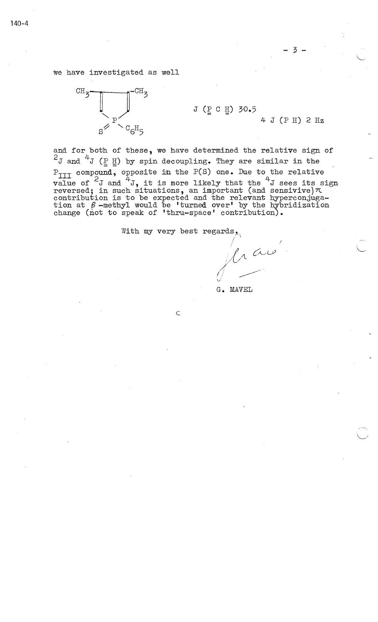we have investigated as well



J (P C H) 30.5

4- J (P H) 2 Hz

L

and for both of these, we have determined the relative sign of  $2J$  and  $4J$  (P H) by spin decoupling. They are similar in the  $P_{TIT}$  compound, opposite in the P(S) one. Due to the relative value of  $2J$  and  $4J$ , it is more likely that the  $4J$  sees its sign reversed; in such situations, an important (and sensivive) $\pi$ contribution is to be expected and the relevant hyperconjuga- tion at *(3* -methyl would be 'turned over• by the hybridization tion at  $\beta$ -methyl would be 'turned over' by the hybridization change (not to speak of 'thru-space' contribution).

With my very best regards.

 $\subset$ 

rau

G. MAVEL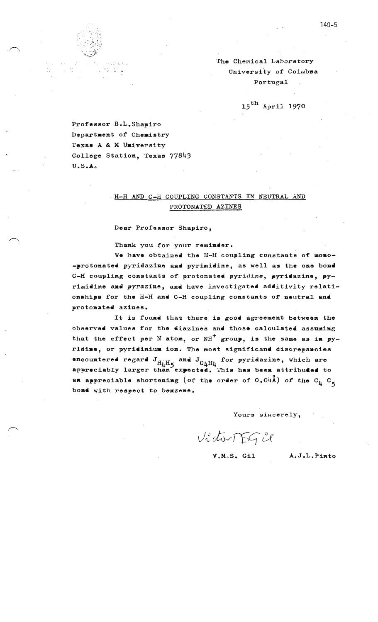

The Chemical Laboratory University of Coimbra Portugal

 $15^{\text{th}}$  April 1970

Professor B.L.Shapiro Department of Chemistry Texas A & M University College Station, Texas 77843  $U.S.A.$ 

# H-H AND C-H COUPLING CONSTANTS IN NEUTRAL AND PROTONATED AZINES

Dear Professor Shapiro,

Thank you for your reminder.

We have obtained the H-H coupling constants of momo--protonated pyridazine and pyrimidine, as well as the one bond C-H coupling constants of protonated pyridine, pyridazine, pyrimidine and pyrazine, and have investigated additivity relationships for the H-H and C-H coupling constants of neutral and protonated azines.

It is found that there is good agreement between the observed values for the diazines and those calculated assuming that the effect per N atom, or  $NH^+$  group, is the same as in pyridine, or pyridinium ion. The most significand discrepancies encountered regard  $J_{H_{\mu}H_{5}}$  and  $J_{C_{\mu}H_{\mu}}$  for pyridazine, which are appreciably larger than expected. This has been attribuded to an appreciable shortening (of the order of  $0.04$ Å) of the  $C_L$   $C_S$ bond with respect to benzene.

Yours sincerely,

VictorTEGU

V.M.S. Gil

A.J.L.Pinto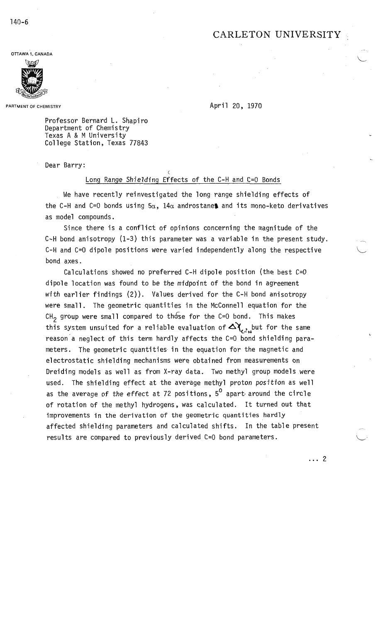# CARLETON UNIVERSITY

**OTTAWA 1, CANADA** 



**PARTMENT** OF CHEMISTRY

April 20, 1970

Professor Bernard L. Shapiro Department of Chemistry Texas A & M University College Station, Texas 77843

Dear Barry:

#### Long Range Shielding Effects of the C-H and C=0 Bonds

 $\zeta$ 

We have recently reinvestigated the long range shielding effects of the C-H and C=0 bonds using  $5\alpha$ ,  $14\alpha$  androstanes and its mono-keto derivatives as model compounds.

Since there is a conflict of opinions concerning the magnitude of the C-H bond anisotropy (1-3) this parameter was a variable in the present study. C-H and C=0 dipole positions were varied independently along the respective bond axes.

Calculations showed no preferred C-H dipole position (the best C=0 dipole location was found to be the midpoint of the bond in agreement with earlier findings (2)). Values derived for the C-H bond anisotropy were small. The geometric quantities in the McConnell equation for the CH<sub>2</sub> group were small compared to those for the C=0 bond. This makes this system unsuited for a reliable evaluation of  $\Delta \chi_{\text{e}^2}$  but for the same reason a neglect of this term hardly affects the  $C=0$  bond shielding parameters. The geometric quantities in the equation for the magnetic and electrostatic shielding mechanisms were obtained from measurements on Dreiding models as well as from X-ray data. Two methyl group models were used. The shielding effect at the average methyl proton position as well as the average of the effect at 72 positions,  $5^{\circ}$  apart around the circle of rotation of the methyl hydrogens, was calculated. It turned out that improvements in the derivation of the geometric quantities hardly affected shielding parameters and calculated shifts. In the table present results are compared to previously derived C=0 bond parameters.

. .. 2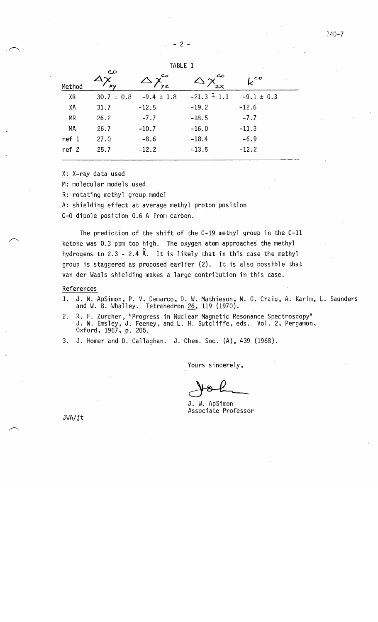$2 -$ 

|           |                          |                |               | $\mathcal{C}_{\mathbf{A}}$ |  |
|-----------|--------------------------|----------------|---------------|----------------------------|--|
| Method    | $\mathbf{C}$<br>$\times$ | مے<br>YZ.      |               | ${\sf k}^{{\tt co}}$       |  |
| <b>XR</b> | $30.7 \pm 0.8$           | $-9.4 \pm 1.8$ | $-21.3 + 1.1$ | $-9.1 \pm 0.3$             |  |
| XA        | 31.7                     | $-12.5$        | $-19.2$       | $-12.6$                    |  |
| <b>MR</b> | 26.2                     | $-7.7$         | $-18.5$       | $-7.7$                     |  |
| MA        | 26.7                     | $-10.7$        | $-16.0$       | $-11.3$                    |  |
| ref 1     | 27.0                     | $-8.6$         | $-18.4$       | $-6.9$                     |  |
| ref 2     | 25.7                     | $-12.2$        | $-13.5$       | $-12.2$                    |  |
|           |                          |                |               |                            |  |

TABLE 1

X: X-ray data used

 $\sqrt{2}$ 

.s

M: molecular models used

R: rotating methyl group model

A: shielding effect at average methyl proton position

C=O dipole position 0.6 A from carbon.

The prediction of the shift of the C-19 methyl group in the C-11 ketone was 0.3 ppm too high. The oxygen atom approaches the methyl hydrogens to 2.3 - 2.4  $\lambda$ . It is likely that in this case the methyl group is staggered as proposed earlier (2). It is also possible that van der Waals shielding makes a large contribution in this case.

#### References

- 1. J. W. ApSimon, P. V. Demarco, D. W. Mathieson, W. G. Craig, A. Karim, L. Saunders and W. B. Whalley. Tetrahedron 26, 119 (1970).
- 2. R. F. Zurcher, "Progress in Nuclear Magnetic Resonance Spectroscopy" J. W. Emsley, J. Feeney, and L. H. Sutcliffe, eds. Vol. 2, Pergamon, Oxford, 1967, p. 205.
- 3. J. Homer and D. Callaghan. J. Chem. Soc. (A), 439 (1968).

Yours sincerely,

J. W. ApSimon Associate Professor

JWA/jt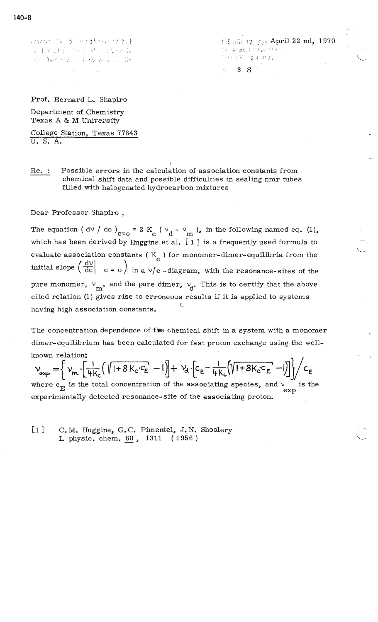Hyan & Streeskenwitch 机电影光线 的复数形式 的复数网络花 dan lectrical to this valid for linI Eurin 12. den April 22 nd, 1970 The declaration of the 741-371 344721

3 S

Prof. Bernard L. Shapiro

Department of Chemistry Texas A & M University

College Station, Texas 77843 U. S. A.

Re. Possible errors in the calculation of association constants from chemical shift data and possible difficulties in sealing nmr tubes filled with halogenated hydrocarbon mixtures

(

Dear Professor Shapiro ,

The equation ( dv / dc )<sub>c=o</sub> = 2 K<sub>c</sub> (  $v_d - v_m$  ), in the following named eq. (1), which has been derived by Huggins et al. [ 1 J is a frequently used formula to evaluate association constants ( $K_{\alpha}$ ) for monomer-dimer-equilibria from the initial slope  $\left(\frac{d\upsilon}{dc}\right)$   $c = o$  in a  $\upsilon/c$  -diagram, with the resonance-sites of the pure monomer,  $v_m$ , and the pure dimer,  $v_d$ . This is to certify that the above cited relation (1) gives rise to erroneous results if it is applied to systems C having high association constants.

The concentration dependence of the chemical shift in a system with a monomer dimer-equilibrium has been calculated for fast proton exchange using the wellknown relation:

$$
v_{exp} = \left\{ v_m \cdot \left[ \frac{1}{4K_c} \left( \sqrt{1+8K_c \cdot c_E} - 1 \right) \right] + v_d \cdot \left[ c_E - \frac{1}{4K_c} \left( \sqrt{1+8K_c \cdot c_E} - 1 \right) \right] \right\} / c_E
$$

where  $c_{\overline{E}}$  is the total concentration of the associating species, and  $\vee$  is the exp experimentally detected resonance-site of the associating proton.

[1] C. M. Huggins, G. C. Pimentel, J. N. Shoolery I. physic. chem. *\_§.Q* , 1311 ( 1956 )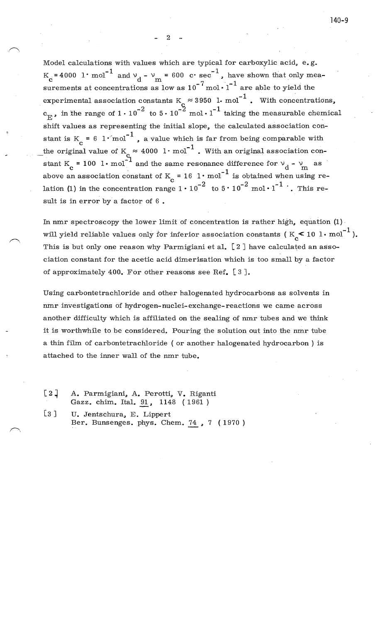2

Model calculations with values which are typical for carboxylic acid, e.g.  $K_c = 4000 \text{ 1} \cdot \text{mol}^{-1}$  and  $v_d - v_m = 600 \text{ c} \cdot \text{sec}^{-1}$ , have shown that only measurements at concentrations as low as  $10^{-7}$  mol  $\cdot 1^{-1}$  are able to yield the experimental association constants  $K_c \approx 3950$  1. mol<sup>-1</sup>. With concentrations,  $c_{\text{E}}$ , in the range of  $1 \cdot 10^{-2}$  to  $5 \cdot 10^{-2}$  mol  $\cdot 1^{-1}$  taking the measurable chemical shift values as representing the initial slope, the calculated association constant is K = 6  $1 \cdot \text{mol}^{-1}$ , a value which is far from being comparable with the original value of  $K_c \approx 4000~\text{l}\cdot\text{mol}^{-1}$  . With an original association constant K<sub>2</sub> = 100 l · mol<sup>-1</sup> and the same resonance difference for  $\vee_{d}$  -  $\vee_{m}$  as above an association constant of  $K_c = 16 \text{ l} \cdot \text{mol}^{-1}$  is obtained when using relation (1) in the concentration range  $1 \cdot 10^{-2}$  to  $5 \cdot 10^{-2}$  mol  $\cdot 1^{-1}$  . This result is in error by a factor of 6 .

In nmr spectroscopy the lower limit of concentration is rather high, equation (1) • will yield reliable values only for inferior association constants ( $K_c < 10^{-1}$  mol<sup>-1</sup>). This is but only one reason why Parmigiani et al.  $[2]$  have calculated an association constant for the acetic acid dimerisation which is too small by a factor of approximately 400. For other reasons see Ref. [ 3 J.

Using carbontetrachloride and other halogenated hydrocarbons as solvents in nmr investigations of hydrogen-nuclei-exchange-reactions we came across another difficulty which is affiliated on the sealing of nmr tubes and we think it is worthwhile to be considered. Pouring the solution out into the nmr tube a thin film of carbontetrachloride ( or another halogenated hydrocarbon) is attached to the inner wall of the nmr tube.

- [2] A. Parmigiani, A. Perotti, V. Riganti Gazz. chim. Ital. 91, 1148 (1961)
- [3] U. Jentschura, E. Lippert Ber. Bunsenges. phys. Chem. 74 , 7 { 1970 )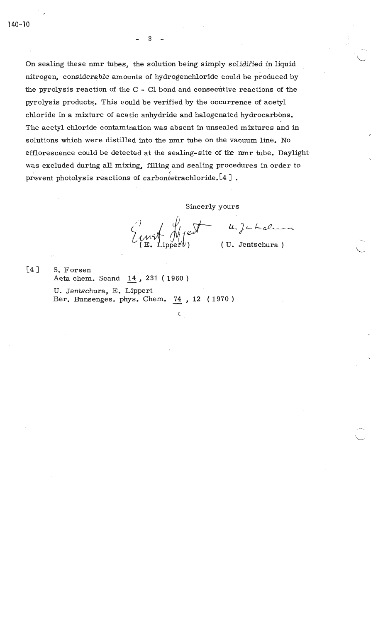140-10

On sealing these nmr tubes, the solution being simply solidified in liquid nitrogen, considerable amounts of hydrogenchloride could be produced by the pyrolysis reaction of the C - Cl bond and consecutive reactions of the pyrolysis products. This could be verified by the occurrence of acetyl chloride in a mixture of acetic anhydride and halogenated hydrocarbons. The acetyl chloride contamination was absent in unsealed mixtures and in solutions which were distilled into the nmr tube on the vacuum line. No efflorescence could be detected at the sealing-site of the nmr tube. Daylight was excluded during all mixing, filling and sealing procedures in order to prevent photolysis reactions of carbontetrachloride. [4].

Sincerly yours

 $\subset$ 

 $u, \zeta$ cholera

L

 $[4]$  S. Forsen Acta chem. Scand 14, 231 (1960)

U. Jentschura., E. Lippert Ber. Bunsenges. phys. Chem. 74, 12 (1970)

3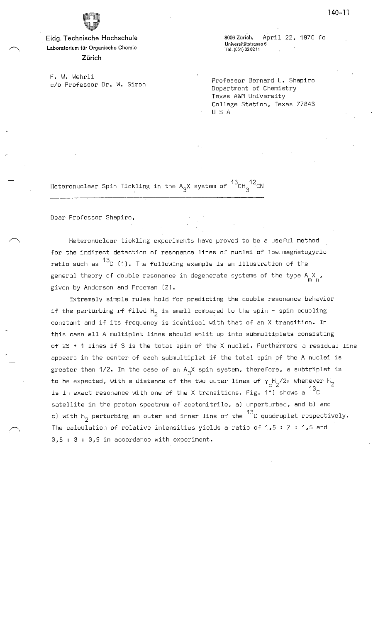

**Eidg. Technische Hochschule Laboratorium filr Organische Chemie Zurich** 

F. **W.** Wehrli c/o Professor Dr. W. Simon 8006 Zürich, April 22, 1970 fo **Universitatstrasse 6 Tel.(051)326211** 

Professor Bernard L. Shapiro Department of Chemistry Texas A&M University College Station, Texas 77843 U S A

Heteronuclear Spin Tickling in the A<sub>3</sub>X system of  $^{13}$ CH $_{3}^{\phantom{1}12}$ CN

Dear Professor Shapiro,

Heteronuclear tickling experiments have proved to be a useful method for the indirect detection of resonance lines of nuclei of low magnetogyric ratio such as  $^{13}$ C (1). The following example is an illustration of the general theory of double resonance in degenerate systems of the type  $A \underset{m}{\times}$  , given by Anderson and Freeman (2).

Extremely simple rules hold for predicting the double resonance behavior if the perturbing rf filed  $H_2$  is small compared to the spin - spin coupling constant and if its frequency is identical with that of an X transition. In this case all A multiplet lines should split up into submultiplets consisting of 2S + 1 lines if S is the total spin of the X nuclei. Furthermore a residual line appears in the center of each submultiplet if the total spin of the A nuclei is greater than 1/2. In the case of an  $A^{}_{3}$ X spin system, therefore, a subtriplet is to be expected, with a distance of the two outer lines of  $\gamma_{\rm c}^{\rm H_2/2\pi}$  whenever H<sub>2</sub> is in exact resonance with one of the X transitions. Fig. 1\*) shows a  $^{13}$ C satellite in the proton spectrum of acetonitrile, a) unperturbed, and b) and c) with  $H_2$  perturbing an outer and inner line of the  $^{13}$ C quadruplet respectively. The calculation of relative intensities yields a ratio of  $1,5 : 7 : 1,5$  and 3,5 : 3 : 3,5 in accordance with experiment.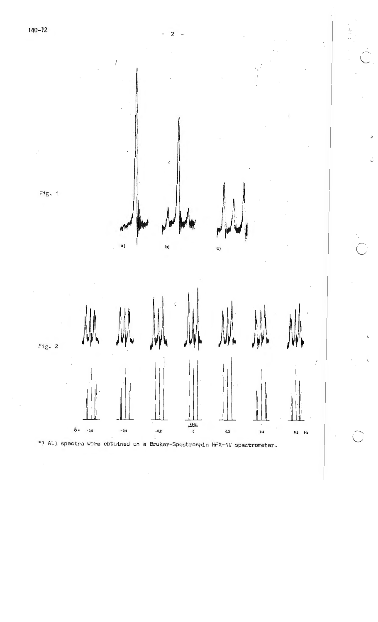

 $\lambda$ 



l-

þ

 $\cup$ 

\*) All spectra were obtained on a Bruker-Spectrospin HFX-10 spectrometer.

0 = -0,6 -0,4 -0,2 0,2 **0,4** 0,6 H,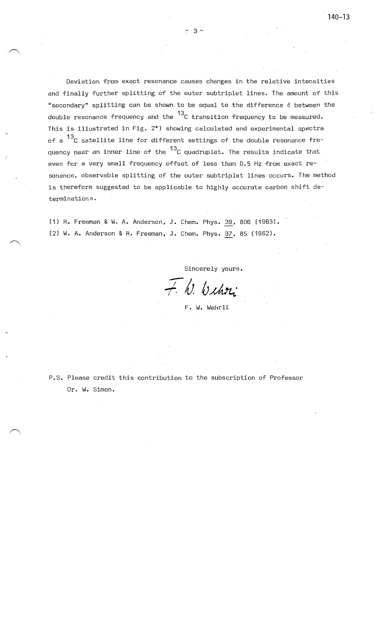Deviation from exact resonance causes changes in the relative intensities and finally further splitting of the outer subtriplet lines. The amount of this "secondary" splitting can be shown to be equal to the difference  $\delta$  between the double resonance frequency and the  $^{13}$ C transition frequency to be measured. This is- illustrated in Fig. 2\*) showing calculated and experimental spectra of a 13c satellite line for different settings of the double resonance frequency near an inner line of the  $^{13}$ C quadruplet. The results indicate that even for a very small frequency offset of less than 0.5 Hz from exact resonance. observable splitting of the outer subtriplet lines occurs. The method is therefore suggested to be applicable to highly accurate carbon shift determinations,

(1) R. Freeman & W. A. Anderson. J. Chem. Phys. 39, 806 (1963). (2) W. A. Anderson & R. Freeman, J. Chem. Phys. 37, 85 (1962).

Sincerely yours.

 $\bar{+}$  h. Withou

F. W. Wehrli

P.S. Please credit this contribution to the subscription of Professor Dr. W. Simon.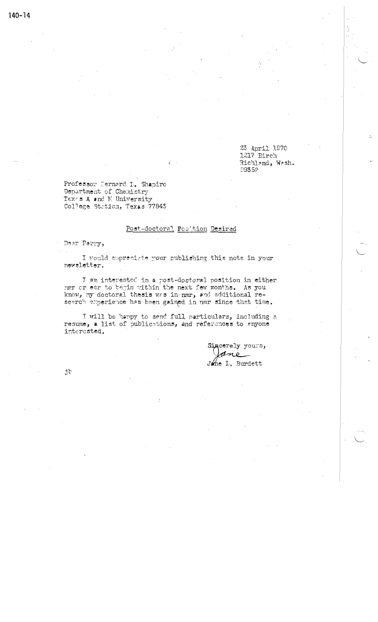23 April 1970 1217 Birch Richland, Wash. 99352

Professor Dernard I. Shapiro Department of Chemistry Texes A and M University College Station, Texas 77843

#### Post-doctoral Posttion Desired

Dear Parry,

 $140 - 14$ 

I would appreciate your publishing this note in your newsletter.

I am interested in a post-doctoral position in either nmr or esr to begin within the next few months. As you know, my doctoral thesis was in nmr, and additional research experience has been gained in nmr since that time.

I will be happy to send full particulars, including a resume, a list of publications, and references to anyone interested.

> Sincerely yours, Jone L. Burdett

jb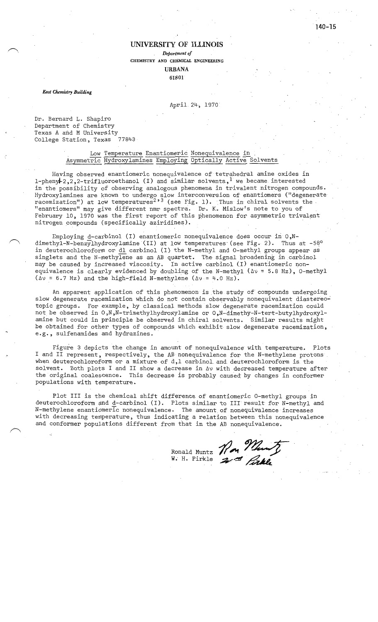#### **UNIVERSITY OF ILLINOIS**

*Department of*  **CHEMISTRY AND CHEMICAL ENGINEERING** 

> **URBANA 61801** -

*East Chemistry Building* 

*( \* 

#### April 24, 1970

Dr. Bernard L. Shapiro Department of Chemistry Texas A and M University College Station, Texas 77843

#### Low Temperature Enantiomeric Nonequivalence in Asymmetric Hydroxylamines Employing Optically Active Solvents

Having observed enantiomeric nonequivalence of tetrahedral amine oxides in 1-pheny  $2,2,2$ -trifluoroethanol (I) and similar solvents, <sup>1</sup> we became interested in the possibility of observing analogous phenomena in trivalent nitrogen compounds. Hydroxylamines are known to undergo slow interconversion of enantiomers ("degenerate racemization") at low temperatures<sup>2,3</sup> (see Fig. 1). Thus in chiral solvents the "enantiomers" may give different nmr spectra. Dr. K. Mislow's note to you of February 10, 1970 was the first report of this phenomenon for asymmetric trivalent nitrogen compounds (specifically aziridines).

Employing d-carbinol (I) enantiomeric nonequivalence does occur in  $0, N$ dimethyl-N-benzylhydroxylamine (II) at low temperatures (see Fig. 2). Thus at -58° in deuterochloroform or dl carbinol (I) the N-methyl and O~methyl groups appear as singlets and the N-methylene as an AB quartet. The signal broadening in carbinol may be caused by increased viscosity. In active carbinol (I) enantiomeric nonequivalence is clearly evidenced by doubling of the N-methyl ( $\Delta v = 5.8$  Hz), O-methyl ( $\Delta v$  = 6.7 Hz) and the high-field N-methylene ( $\Delta v$  = 4.0 Hz).

An apparent application of this phenomenon is the study of compounds undergoing slow degenerate racemization which do not contain observably nonequivalent diastereotopic groups. For example, by classical methods slow degenerate racemization could not be observed in O,N,N-trimethylhydroxylamine or O,N-dimethy-N-tert-butylhydroxylamine but could in principle be observed in chiral solvents. Similar results might be obtained for other types of compounds which exhibit slow degenerate racemization, e.g., sulfenamides and hydrazines.

Figure 3 depicts the change in amount of nonequivalence with temperature. Plots I and II represent, respectively, the AB nonequivalence for the N-methylene protons when deuterochloroform or a mixture of d,l carbinol. and. deuterochloroform is. the solvent. Both plots I and II show a decrease in  $\Delta v$  with decreased temperature after the original coalescence. This decrease is probably caused: by changes in conformer populations with temperature.

Plot III is the chemical shift difference of enantiomeric 0-methyl groups in deuterochloroform and d-carbinol (I). Plots similar to III result for N-methyl and N-methylene enantiomeric nonequivalence. The. amount of nonequivalence increases with decreasing temperature, thus indicating a relation between this nonequivalence and conformer populations different from that in the AB nonequivalence·.

> Ronald, Muntz W. H. Pirkle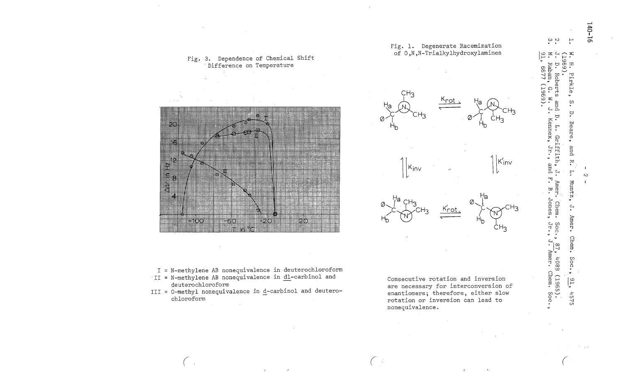

I = N-methylene AB nonequivalence in deuterochloroform

- II = N-methylene AB nonequivalence in dl-carbinol and deuterochloroform
- III = 0-methyl nonequivalence in d-carbinol and deuterochloroform



Fig. 1. Degenerate Racemization

Consecutive rotation and inversion are necessary for interconversion of enantiomers; therefore, either slow rotation or inversion can lead to nonequivalence.

 $\sim$   $\sim$  $\vdash$ ≍. ن<br>60 H Pirkle ഩ ့<br>•  $\ddot{a}$  $\cup$ Kennex, Jr., Beare,  $\Gamma$ Griffith, bue  $\ddot{\mathbf{z}}$ and F  $\tilde{c}$  $\overline{\Gamma}$ Amer  $Muntz$ , Ø Jones Chem  $\mathbf{r}$ Amer. Jr. Soc., Chem. , 87, 4089 (1965).<br>J. Amer. Chem. Soc. Soc.  $\frac{91}{5}$  $4575$ 

6677

696T

 $140 - 16$ 

 $\mathcal{N}$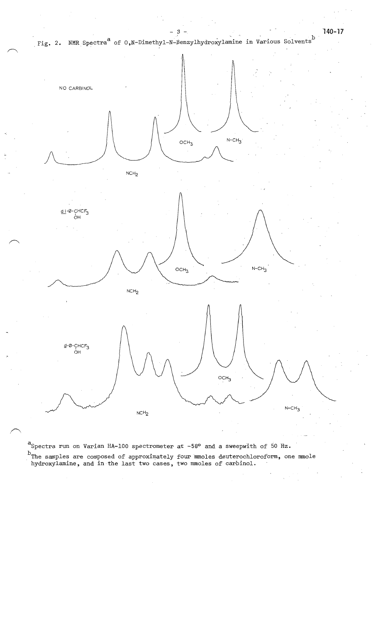



aSpectra run on Varian HA-100 spectrometer at -58° and a sweepwith of 50 Hz. <sup>D</sup>The samples are composed of approximately four mmoles deuterochloroform, one mmole hydroxylamine, and in the last two cases, two mmoles of carbinol.

**·140-17**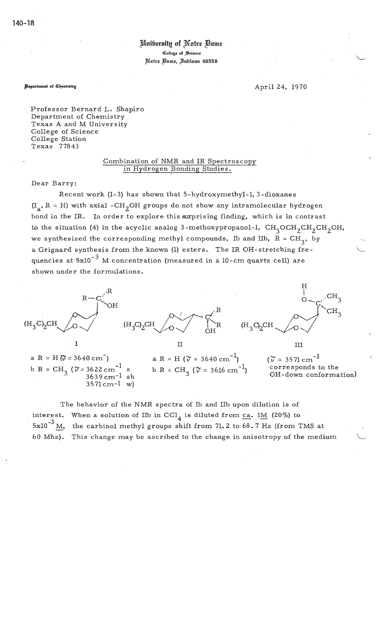### Unibersity of Notre Bame C!Iollege **of** ffi,.cience ~otre c!§unie, J)nhiunu 46556

**Bepartment of Chemistry** 

April 24, 1970

L,

Professor Bernard L. Shapiro Department of Chemistry Texas A and M University College of Science College Station Texas 77843

3571cm-l w)

#### Combination of NMR and IR Spectroscopy in Hydrogen Bonding Studies.

Dear Barry:

Recent work (1-3) has shown that 5-hydroxymethyl-l, 3-dioxanes  $(I_a, R = H)$  with axial -CH<sub>2</sub>OH groups do not show any intramolecular hydrogen bond in the IR. In order to explore this surprising finding, which is in contrast to the situation (4) in the acyclic analog 3-methoxypropanol-1,  $\text{CH}_{\text{3}}\text{OCH}_{\text{2}}\text{CH}_{\text{2}}\text{CH}_{\text{2}}\text{OH}$ , we synthesized the corresponding methyl compounds, Ib and IIb,  $R = CH_3$ , by a Grignard synthesis from the known (1) esters. The IR OH-stretching frequencies at  $5x10^{-3}$  M concentration (measured in a 10-cm quartz cell) are shown under the formulations.



b R =  $CH_3$  ( $\tilde{v}$  = 3616 cm<sup>-1</sup>)

corresponds to the OH-down conformation)

The behavior of the NMR spectra of lb and Ilb upon dilution is of interest. When a solution of IIb in CCl<sub>4</sub> is diluted from ca. 1M (20%) to  $5x10^{-3}$  M, the carbinol methyl groups shift from 71.2 to  $68.7$  Hz (from TMS at 60 Mhz). This change may be ascribed to the change in anisotropy of the medium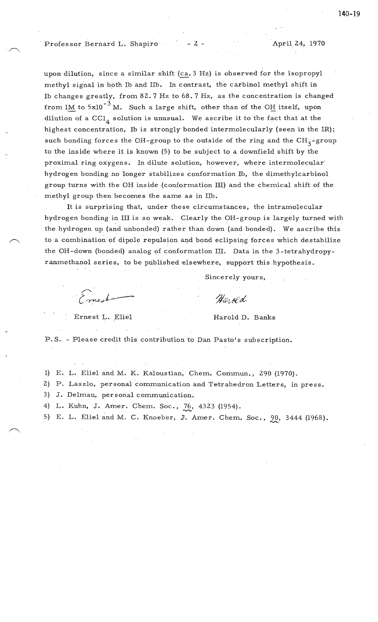Professor Bernard L. Shapiro - 2 - , April 24, 1970

upon dilution, since a similar shift (ca. 3 Hz) is observed for the isopropyl methyl signal in both lb and Ilb. In contrast, the carbinol methyl shift in Ib changes greatly, from 82.7 Hz to  $68.7$  Hz, as the concentration is changed from 1M to  $5x10^{-3}$  M. Such a large shift, other than of the OH itself, upon dilution of a  $\text{CC1}_4$  solution is unusual. We ascribe it to the fact that at the highest concentration, Ib is strongly bonded intermolecularly (seen in the IR); such bonding forces the OH-group to the outside of the ring and the  $CH_2$ -group to the inside where it is known (5) to be subject to a downfield shift by the proximal ring oxygens. In dilute solution, however, where intermolecular· hydrogen bonding no longer stabilizes conformation lb, the dimethylcarbinol group turns with the OH inside (conformation III) and the chemical shift of the methyl group-then becomes the same as in Ilb.

It is surprising that, under these circumstances, the intramolecular hydrogen bonding in III is so weak. Clearly the OH-group is largely turned with the hydrogen up (and unbonded) rather than down (and bonded). We ascribe this to a combination of dipole repulsion and bond eclipsing forces which destabilize the OH-down (bonded) analog of conformation III. Data in the 3-tetrahydropyranmethanol series, to be published elsewhere, support this hypothesis.

Sincerely yours,

Naroed

Ernest L. Eliel Harold D. Banks

P.S. - Please credit this contribution to Dan Pasto's subscription.

1) E. L. Eliel and M. K. Kaloustian, Chem. Commun., 290 (1970).

2) P. Laszlo, personal communication and Tetrahedron Letters, in press.

3) J. Delmau, personal communication.

4) L. Kuhn, J. Amer. Chem. Soc., 76, 4323 (1954).

5) E. L. Eliel and M. C. Knoeber, J. Amer. Chem. Soc., 20, 3444 (1968).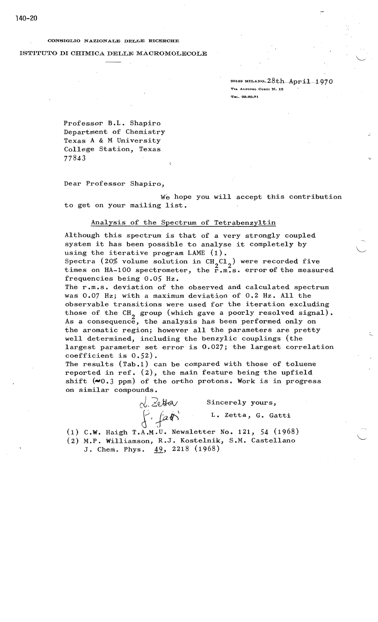#### CONSIGLIO NAZIONALE DELLE RICERCHE

#### ISTITUTO DI CHIMICA DELLE MACROMOLECOLE

20188 MILANO,  $28th$ ... $April$ .... $1.970$ **Vu, ALrONSO CORTI N. 12 TZL. 29.60.71** 

..;

L·

 $\setminus$ 

Professor B.L. Shapiro Department of Chemistry Texas A & M University College Station, Texas 77843

Dear Professor Shapiro,

We hope you will accept this contribution to get on your mailing list.

#### Analysis of the Spectrum of Tetrabenzyltin

Although this spectrum is that of a very strongly coupled system it has been possible to analyse it completely by using the iterative program LAME (1).

Spectra (20% volume solution in  $CH_2Cl_2$ ) were recorded five<br>times on  $H_2$  100 spectromator, the  $\frac{2}{\pi} \pi^2$  connect the measure times on  $HA-100$  spectrometer, the  $\tilde{r}$ .m.s. error of the measured frequencies being *0.05* Hz.

The r.m.s. deviation of the observed and calculated spectrum was 0.07 Hz; with a maximum deviation of 0.2 Hz. All the observable transitions were used for the iteration excluding those of the  $CH_{2}$  group (which gave a poorly resolved signal). As a consequence, the analysis has been performed only on the aromatic region; however all the parameters are pretty well determined, including the benzylic couplings (the largest parameter set error is 0.027; the largest correlation coefficient is 0.52).

The results (Tab.1) can be compared with those of toluene reported in ref. (2), the main feature being the upfield shift  $(\sim 0.3 \text{ ppm})$  of the ortho protons. Work is in progress on similar compounds.

> d. Zetta  $f$   $f$   $f$   $g$   $h$   $h$

Sincerely yours,

L. Zetta, G. Gatti

(1) **C.W.** Haigh T.A.M.U. Newsletter No. 121, 54 (1968)

- (2) M.P. Williamson, R.J. Kostelnik, S.M. Castellano
	- J. Chem. Phys. 49, 2218 (1968)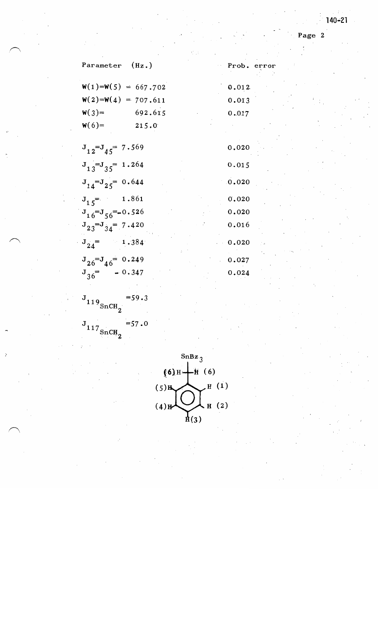Page 2

|                      | Parameter (Hz.)            |         |       | Prob. error |
|----------------------|----------------------------|---------|-------|-------------|
|                      | $W(1) = W(5) = 667.702$    |         | 0.012 |             |
|                      | $W(2) = W(4) = 707.611$    |         | 0.013 |             |
|                      | $W(3) =$                   | 692.615 | 0.017 |             |
| $\ddot{\phantom{a}}$ | $W(6) =$                   | 215.0   |       |             |
|                      | $J_{12} = J_{45} = 7.569$  |         | 0.020 |             |
|                      | $J_{13} = J_{35} = 1.264$  |         | 0.015 |             |
|                      | $J_{14} = J_{25} = 0.644$  |         | 0.020 |             |
|                      | $J_{15}$ = 1.861           |         | 0.020 |             |
|                      | $J_{16} = J_{56} = -0.526$ |         | 0.020 |             |
|                      | $J_{23} = J_{34} = 7.420$  |         | 0.016 |             |
|                      | $J_{24} = 1.384$           |         | 0.020 |             |
|                      | $J_{26} = J_{46} = 0.249$  |         | 0.027 |             |
|                      | $J_{36}$ - 0.347           |         | 0.024 |             |

 $J_{119}$   $_{\text{SnCH}_2}$   $^{-59.3}$ 

 $\overline{a}$ 

 $\bigcap$ 

J  $11/$ SnCH<sub>2</sub>  $=57.0$ 

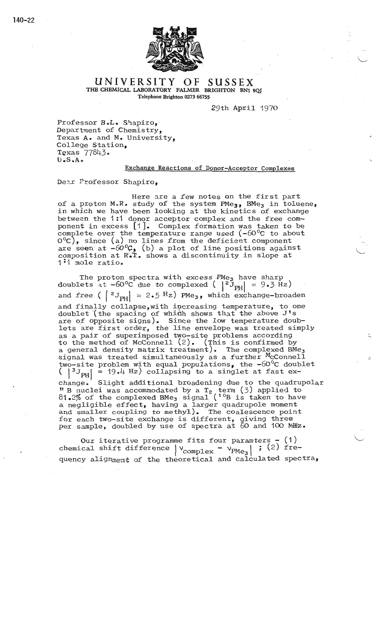

**UNIVERSITY OF SUSSEX**  THE CHEMICAL LABORATORY FALMER BRIGHTON BNI 9QJ Telephone Brighton 0273 66755

29th April 1970

L

Professor B.L. Shapiro, Department of Chemistry, Texas **A.** and M. University, College Station, Texas 77843.<br>U.S.A.

#### Exchange Reactions of Donor-Acceptor Complexes

Dear Professor Shapiro,

Here are a few notes on the first part of a proton M.R. study of the system  $PMe<sub>3</sub>$ , BMe<sub>3</sub> in toluene, in which we have been looking at the kinetics of exchange between the 1 :1 donor acceptor complex and the free component in excess [1]. Complex formation was taken to be complete over the temperature range used  $(-60^{\circ}C)$  to about  $0^{\circ}$ C), since (a) no lines from the deficient component are seen at  $-60^{\circ}$ C, (b) a plot of line positions against composition at  $R^*$  and  $T$ . shows a discontinuity in slope at 1. mole ratio.

The proton spectra with excess PMe<sub>3</sub> have sharp doublets at -60°C due to complexed ( $|^{2}J_{PH}| = 9.3$  Hz) and free  $( | z_{J_{PH}} | = 2.5 \text{ Hz})$  PMe<sub>3</sub>, which exchange-broaden and finally collapse, with increasing temperature, to one doublet (the spacing of which shows that the above  $J's$ are of opposite signs). Since the low temperature doublets are first order, the line envelope was treated simply as a pair of superimposed two-site problems according to the method of McConnell  $(2)$ . (This is confirmed by a general density matrix treatment). The complexed BMe<sub>3</sub> signal was treated simultaneously as a further <sup>M</sup>cConnell two-site problem with equal populations, the  $-60^{\circ}$ C doublet  $|{}^{3}J_{\text{PH}}|$  = 19.4 Hz) collapsing to a singlet at fast exchange. Slight additional broadening due to the quadrupolar  $\text{11 B}$  nuclei was accommodated by a  $\text{T}_2$  term (3) applied to  $81.2\%$  of the complexed BMe<sub>3</sub> signal ( $^{10}B$  is taken to have a negligible effect, having a larger quadrupole moment and smaller coupling to methyl). The coalescence point £or each two-site exchange is different, giving three per sample, doubled by use of spectra at 60 and 100 MHz.

Our iterative programme fits four paramters - (1)<br>
chemical shift difference  $\vert$   $\vee$  complex  $\vert$   $\vee$   $\rangle$ PMe<sub>3</sub>  $\vert$  ; (2) frequency alignment of the theoretical and calculated spectra,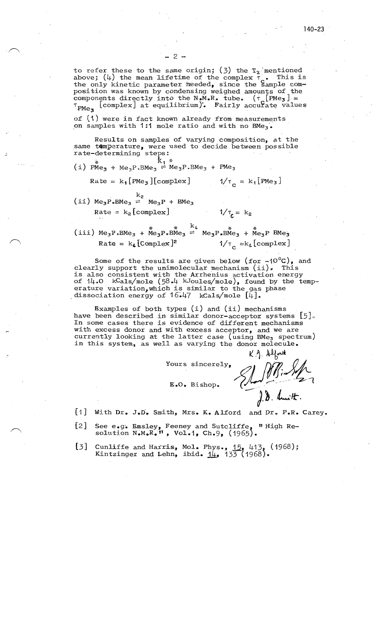to refer these to the same origin; (3) the  $T_2$  mentioned above; (4) the mean lifetime of the complex  $\tau$ . This is<br>the only kinetic parameter needed, since the Sample composition was known by condensing weighed amounts of the components directly into the N.M.R. tube.  $(\tau_{\alpha}[\text{PMe}_3] =$  $\tau_{\text{PMe}_{3}}$  [complex] at equilibrium). Fairly accurate values

of (1) were in fact known already from measurements on samples with 1:1 mole ratio and with no BMe<sub>3</sub>.

Results on samples of varying composition, at the same temperature, were used to decide between possible rate-determining steps:

(i) PMe<sub>3</sub> + Me<sub>3</sub>P.BMe<sub>3</sub>  $\Rightarrow$  Me<sub>3</sub>P.BMe<sub>3</sub> + PMe<sub>3</sub>

$$
1/\tau_{\circ} = k_1 [\text{PMe}_3]
$$

 $1/\tau_c = k_2$ 

(ii)  $Me_3P$ .BM $e_3$  =  $Me_3P$  + BM $e_3$ Rate =  $k_2$ [complex]

 $Rate = k_1[PMe_3][complex]$ 

(iii)  $Me_3P \cdot BMe_3 + Me_3P \cdot BMe_3 \stackrel{*}{\leftarrow} \stackrel{k}{\leftarrow} Me_3P \cdot BMe_3 + Me_3P \cdot BMe_3$  $Rate = k_{4}$ [Complex]<sup>2</sup>  $1/\tau_c = k_4$ [complex]

Some of the results are given below (for  $-10^{\circ}$ C), and clearly support the unimolecular mechanism (ii). This is also consistent with the Arrhenius activation energy of  $14.0$  kCals/mole (58.4 kJoules/mole), found by the temperature variation, which is similar to the gas phase dissociation energy of  $16.47$  kCals/mole  $[4]$ .

Examples of both types  $(i)$  and  $(ii)$  mechanisms have been described in similar donor-acceptor systems  $5 \,$ . In some cases there is evidence of different mechanisms with excess donor and with excess acceptor, and we are currently looking at the latter case (using BMe<sub>3</sub> spectrum) in this system, as well as varying the donor molecule.

Yours sincerely,

E.O. Bishop.

 $K$   $\Lambda$  Alford El St Bin Sof

 $[1]$ With Dr. J.D. Smith, Mrs. K. Alford and Dr. P.R. Carey.

- See e.g. Emsley, Feeney and Sutcliffe, "High Re- $\lfloor 2 \rfloor$ solution  $N_{\bullet}M_{\bullet}R_{\bullet}$ ", Vol.1, Ch.9, (1965).
- Cunliffe and Harris, Mol. Phys.,  $15$ , 413, (1968);<br>Kintzinger and Lehn, ibid.  $1\frac{1}{4}$ , 133 (1968).  $\lfloor 3 \rfloor$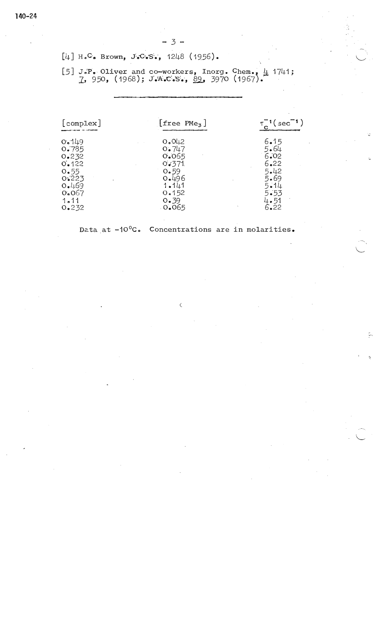$[4]$  H.C. Brown, J.C.S., 1248 (1956).

[5] J.P. Oliver and co-workers, Inorg. Chem.,  $\frac{1}{4}$  1741;<br>
7, 950, (1968); J.A.C.S., 89, 3970 (1967).

| [complex]        | $[free$ PMe <sub>3</sub> $]$     | $T^{-1}$ (sec <sup>-1</sup> ) |
|------------------|----------------------------------|-------------------------------|
| 0.149            | O <sub>•</sub> OL <sub>1</sub> 2 | 6.15                          |
| 0.785            | 0.747                            | 5.64                          |
| 0.232            | 0.065                            | 6.02                          |
| 0.122            | 0.371                            | 6.22                          |
| $O_{\bullet} 55$ | 0.59                             | 5.42                          |
| 0.223            | 0.496                            | 5.69                          |
| 0.469            | 1.141                            | $5 - 14$                      |
| 0.067            | 0.152                            | $5 - 53$                      |
| 1.11             | 0.39                             | $4 - 51$                      |
| 0.232            | 0.065                            | 6.22                          |

 $\zeta$ 

Data at -10°C. Concentrations are in molarities.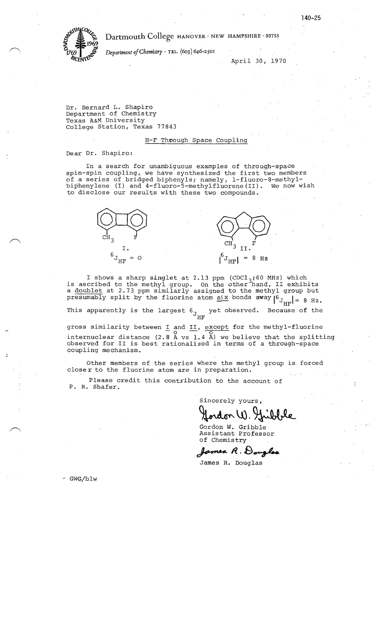

WILLOWS Dartmouth College HANOVER · NEW HAMPSHIRE · 03755

**°1769** <sup>I</sup>J *Department of Chemistry* · TEL. (603) 646-2501

April 30, 1970

Dr. Bernard L. Shapiro Department of Chemistry Texas A&M University College Station, Texas 77843

#### H-F Through Space Coupling

Dear Dr. Shapiro:

In a search for unambiguous examples of throuqh-space spin-spin coupling, we have synthesized the first two members of a series of bridged biphenyls; namely, l-fluoro-8-methylbiphenylene (I) and 4-fluoro-5-methylfluorene(II). We now wish to disclose our results with these two compounds.



I shows a sharp singlet at 2.13 ppm (CDCl<sub>3</sub>;60 MHz) which<br>is ascribed to the methyl group. On the other hand, II exhibits a doublet at 2.73 ppm similarly assigned to the methyl group but presumably split by the fluorine atom  $\frac{\sin x}{\sin x}$  bonds  $\frac{\sin x}{\cos x}$  |  $\frac{\sin x}{\sin x}$  | = 8 Hz.

This apparently is the largest  $6<sub>J</sub>$  yet observed. Because of the HF

gross similarity between  $I$  and  $II$ , except for the methyl-fluorine internuclear distance  $(2.8 \text{ Å vs } 1.4 \text{ Å})$  we believe that the splitting observed for II is best rationalized in terms of a through-space coupling mechanism.

Other members of the series where the methyl group is forced closer to the fluorine atom are in preparation.

Please credit this contribution to the account of P. R. Shafer.

Sincerely yours,<br>**Jordon W. Juibble** 

Gordon W. Gribble Assistant Professor of Chemistry

 ${f}$ omea R. Douglas

James R. Douglas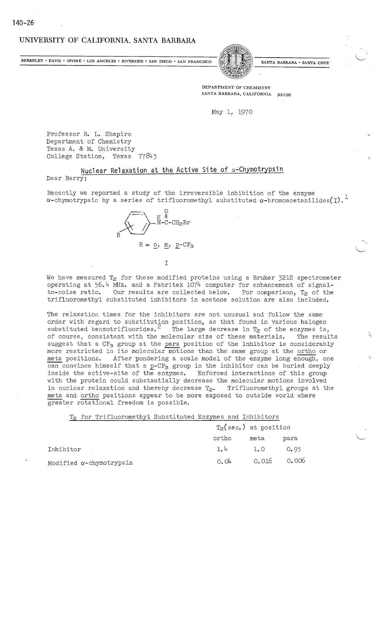### **UNIVERSITY OF CALIFORNIA, SANTA BARBARA**

BERKELEY • DAVIS • IRVINE • LOS ANGELES • RIVERSIDE • SAN DIEGO • SAN FRANCISCO (S/MESSIDE) SANTA BARBARA • SANTA CRUZ



**DEPARTMENT OF CHEMISTRY**  SANTA BARBARA, CALIFORNIA 93106

May 1, 1970

Professor B. L. Shapiro Department of Chemistry Texas A. & M. University College Station, Texas 77843

#### **Nuclear Relaxation at the Active Site of a~Chymotrypsin**  Dear Barry:

Recently we reported a study of the irreversible inhibition of the enzyme  $\alpha$ -chymotrypsin by a series of trifluoromethyl substituted  $\alpha$ -bromoacetanilides(I).<sup>1</sup>



We have measured  $T_2$  for these modified proteins using a Bruker 321S spectrometer operating at 56.4 MHz. and a Fabritek 1074 computer for enhancement of signalto-noise ratio. Our results are collected below. For comparison,  $T_2$  of the trifluoromethyl substituted inhibitors in acetone solution are also included.

The relaxation times for the inhibitors are not unusual and follow the same order with regard to substitution position, as that found in various halogen substituted benzotrifluorides. <sup>2</sup> The large decrease in  $T_2$  of the enzymes is, of course, consistent with the molecular size of these materials. The results suggest that a  $CF<sub>3</sub>$  group at the para position of the inhibitor is considerably more restricted in its molecular motions than the same group at the ortho or meta positions. After pondering a scale model of the enzyme long enough, one can convince himself that a  $p$ -CF<sub>3</sub> group in the inhibitor can be buried deeply inside the active-site of the enzymes. Enforced interactions of this group with the protein could substantially decrease the molecular motions involved in nuclear relaxation and thereby decrease  $T_{2}$ . Trifluoromethyl groups at the meta and ortho positions appear to be more exposed to outside world where greater rotational freedom is possible.

T<sub>2</sub> for Trifluoromethyl Substituted Enzymes and Inhibitors

|                                 | $T2$ (sec.) at position |             |      |
|---------------------------------|-------------------------|-------------|------|
|                                 | ortho                   | meta        | para |
| Inhibitor                       | 1.4                     | 1.0         | 0.95 |
| Modified $\alpha$ -chymotrypsin | 0.04                    | 0.016 0.006 |      |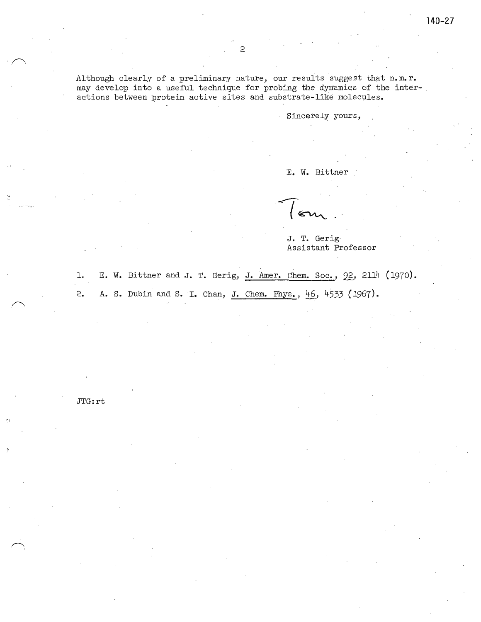Sincerely yours,

E.W. Bittner

J. T. Gerig-Assistant Professor

1. E. W. Bittner and J. T. Gerig, J. Amer. Chem. Soc., 22, 2114 (1970). 2. A. S. Dubin and S. I. Chan, J. Chem. Phys., *!±§\_,* 4533 ( 1967).

JTG:rt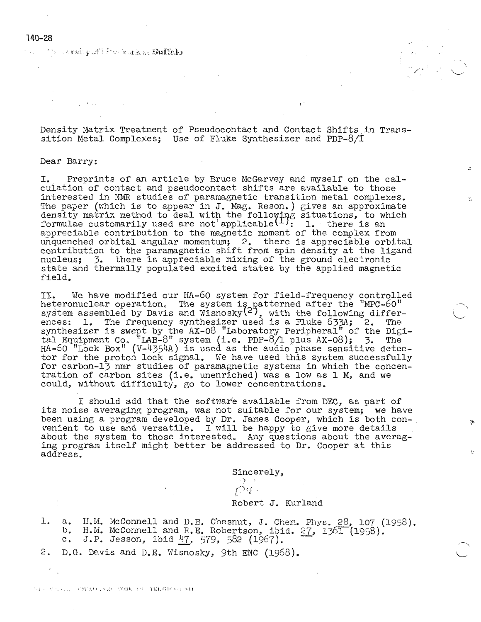#### **140-28**

and the correl pull for Section Multicle

Density Matrix Treatment of Pseudocontact and Contact Shifts in Transsition Metal Complexes; Use of Fluke Synthesizer and PDP-8/I

#### Dear Barry:

I. Preprints of an article by Bruce McGarvey and myself on the calculation of contact and pseudocontact shifts are available to those interested in NMR studies of paramagnetic transition metal complexes. The paper (which is to appear in J. Mag. Reson.) gives an approximate density matrix method to deal with the following situations, to which formulae customarily used are not applicable  $\binom{1}{1}$ : 1. there is an appreciable contribution to the magnetic moment of the complex from unquenched orbital angular momentum; 2. there is appreciable orbital contribution to the paramagnetic shift from spin density at the ligand nucleus; 3. there is appreciable mixing of the ground electronic state and thermally populated excited states by the applied magnetic field.

II. We have modified our HA-60 system for field-frequency controlled heteronuclear operation. The system is atterned after the "MPC-60" system assembled by Davis and Wisnosky $(2^+)$ , with the following differences: 1. The frequency synthesizer used is a Fluke 633A; 2. The synthesizer is swept by the AX-08 "Laboratory Peripheral" of the Digital Equipment Co. "LAB-8" system (i.e. PDP-8/1 plus AX-08); 3. The  $H - 60$  "Lock Box"  $(V - 4354A)$  is used as the audio phase sensitive detector for the proton lock signal. We have used this system successfully for carbon-13 nmr studies of paramagnetic systems in which the concentration of carbon sites (i.e. unenriched) was a low as 1 M, and we could, without difficulty, go to lower concentrations.

. I should add that the software available from DEC, as part of its noise averaging program, was not suitable for our system; we have been using a program developed by Dr. James Cooper, which is both con-<br>venient to use and versatile. I will be happy to give more details<br>about the system to those interested. Any questions about the averag-<br>ing program it address.

Sincerely,

# بالمودف كالمستنب

#### Robert J. Kurland

1. a. H.M. McConnell and D.B. Chesnut, J. Chem. Phys. 28, 107 (1958). b. H.M. McConnell and R.E. Robertson, ibid. 27, 1361 (1958). a. H.M. McConnell and<br>b. H.M. McConnell and<br>c. J.P. Jesson, ibid c. J.P. Jesson, ibid 47, 579, 582 (1967).

2. D.G. Davis and D.E. Wisnosky, 9th ENC (1968).

THE RESIDENCE CREATED AND MORE THE TELEVISION NOTE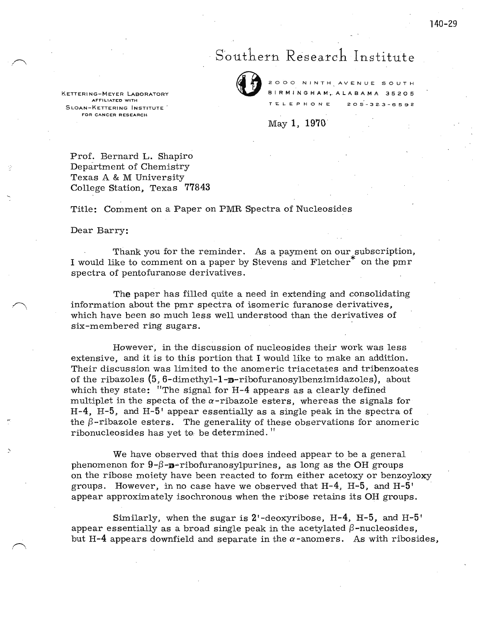# Southern Research Institute



2000 NINTH AVENUE SOUTH<br>BIRMINGHAM, ALABAMA 35205<br>TELEPHONE 205-323-6592 B I R M I N G H A M, A L A B A M A 35205  $205 - 323 - 6592$ 

May 1, 1970

KETTERING-MEYER LABORATORY **AFFILIATED WITH**  SLOAN-KETTERING INSTITUTE . **FOR CANCER RESEARCH** 

Prof. Bernard L. Shapiro Department of Chemistry Texas A & M University College Station, Texas **77843** 

Title: Comment on a Paper on PMR Spectra of Nucleosides

#### Dear Barry:

)

Thank you for the reminder. As a payment on our subscription, I would like to comment on a paper by Stevens and Fletcher\* on the pmr spectra of pentofuranose derivatives.

**The** paper has filled quite a need in extending and consolidating information about the pmr spectra of isomeric furanose derivatives, which have been so much less well understood than the derivatives of six-membered ring sugars.

However, in the discussion of nucleosides their work was less extensive, and it is to this portion that I would like to make an addition. Their discussion was limited to the anomeric triacetates and tribenzoates of the ribazoles  $(5, 6$ -dimethyl-1- $\mathbf{p}$ -ribofuranosylbenzimidazoles), about which they state: "The signal for H-4 appears as a clearly defined multiplet in the specta of the  $\alpha$ -ribazole esters, whereas the signals for  $H-4$ ,  $H-5$ , and  $H-5'$  appear essentially as a single peak in the spectra of the  $\beta$ -ribazole esters. The generality of these observations for anomeric ribonucleosides has yet to be determined.''

We have observed that this does indeed appear to be a general phenomenon for  $9-\beta-\mathbf{v}$ -ribofuranosylpurines, as long as the OH groups on the ribose moiety have been reacted to form either acetoxy or benzoyloxy groups. However, in no case have we observed that  $H-4$ ,  $H-5$ , and  $H-5'$ appear approximately isochronous when the ribose retains its OH groups.

Similarly, when the sugar is  $2^1$ -deoxyribose,  $H-4$ ,  $H-5$ , and  $H-5$ <sup>'</sup> appear essentially as a broad single peak in the acetylated  $\beta$ -nucleosides, but **H-4** appears downfield and separate in the  $\alpha$ -anomers. As with ribosides,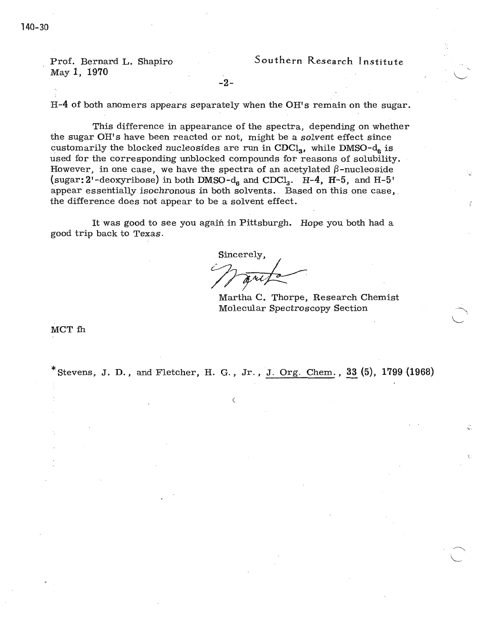Prof. Bernard L. Shapiro May 1, 1970

-2-

H-4 of both anomers appears separately when the OH's remain on the sugar.

. This difference in appearance of the spectra, depending on whether the sugar OH's have been reacted or not, might be a solvent effect since customarily the blocked nucleosides are run in  $CDCI<sub>3</sub>$ , while DMSO- $d<sub>6</sub>$  is used for the corresponding unblocked compounds for reasons of solubility. However, in one case, we have the spectra of an acetylated  $\beta$ -nucleoside (sugar:  $2'$ -deoxyribose) in both DMSO- $d_6$  and CDCl<sub>3</sub>. H-4, H-5, and H-5' appear essentially isochronous in both solvents. Based on this one case, the difference does not appear to be a solvent effect.

It was good to see you again in Pittsburgh. Hope you both had a good trip back to Texas.

Sincerely,

Martha C. Thorpe, Research Chemist Molecular Spectroscopy Section .

MCT fh

 $*$  Stevens, J. D., and Fletcher, H. G., Jr., J. Org. Chem., 33 (5), 1799 (1968)

(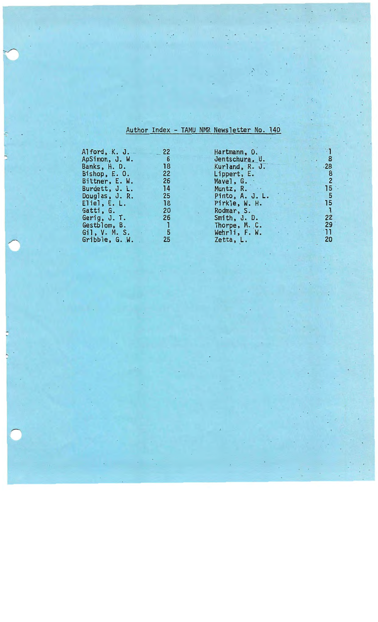# Author Index - TAMU NMR Newsletter No. 140

| Alford, $K.$ J.  | 22              | Hartmann, O.    |                |
|------------------|-----------------|-----------------|----------------|
| ApSimon, J. W.   | 6               | Jentschura, U.  | 8              |
| Banks, H. D.     | 18              | Kurland, R. J.  | .28            |
| Bishop, E. O.    | 22 <sup>7</sup> | Lippert, E.     | $\frac{8}{2}$  |
| Bittner, E. W.   | 26              | Mavel, $G.$     |                |
| Burdett, J. L.   | 14              | Muntz, $R$ .    | 15             |
| Douglas, $J. R.$ | 25              | Pinto, A. J. L. | -5             |
| Eliel, $E. L.$   | 18              | Pirkle, W. H.   | 15             |
| Gatti, G.        | 20              | Rodmar, S.      |                |
| Gerig, J. T.     | 26              | Smith, J. D.    | 22             |
| Gestblom, B.     |                 | Thorpe, M. C.   | <b>29</b>      |
| Gil, V. M. S.    | 5               | Wehrli, F. W.   | 11             |
| Gribble, G. W.   | 25              | Zetta, L.       | 2 <sub>C</sub> |
|                  |                 |                 |                |